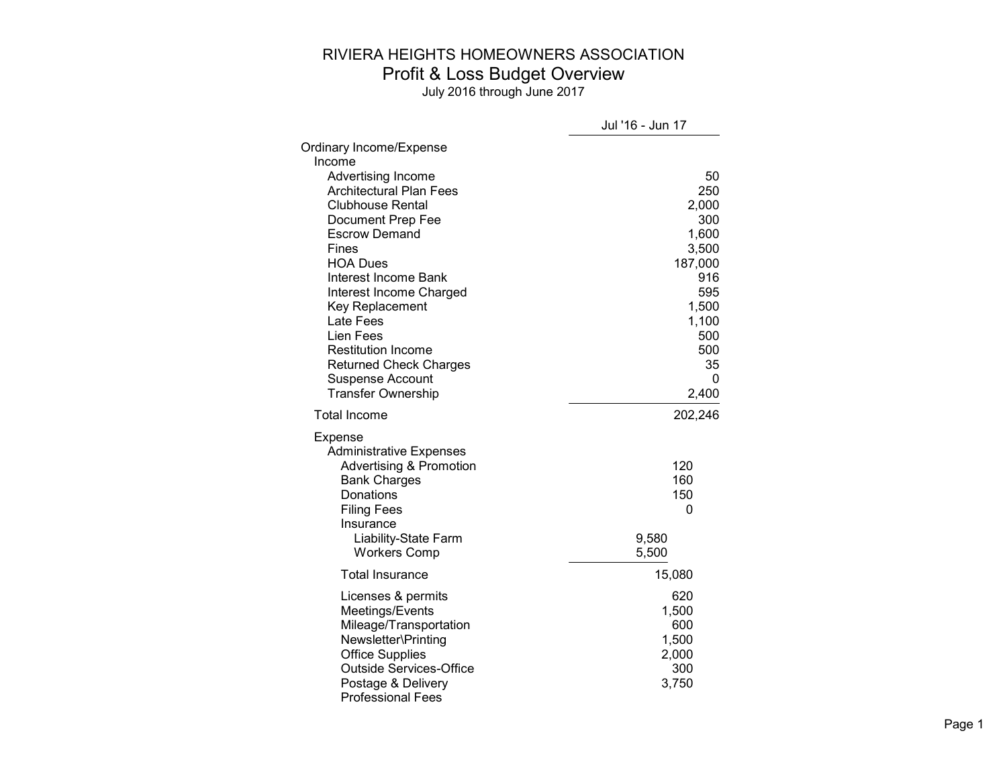|                                                | Jul '16 - Jun 17 |
|------------------------------------------------|------------------|
| Ordinary Income/Expense                        |                  |
| Income                                         |                  |
| Advertising Income                             | 50               |
| <b>Architectural Plan Fees</b>                 | 250              |
| <b>Clubhouse Rental</b>                        | 2,000            |
| Document Prep Fee                              | 300              |
| <b>Escrow Demand</b>                           | 1,600            |
| Fines<br><b>HOA Dues</b>                       | 3,500<br>187,000 |
| Interest Income Bank                           | 916              |
| Interest Income Charged                        | 595              |
| <b>Key Replacement</b>                         | 1,500            |
| Late Fees                                      | 1,100            |
| Lien Fees                                      | 500              |
| <b>Restitution Income</b>                      | 500              |
| <b>Returned Check Charges</b>                  | 35               |
| <b>Suspense Account</b>                        | 0                |
| <b>Transfer Ownership</b>                      | 2,400            |
| <b>Total Income</b>                            | 202,246          |
| Expense                                        |                  |
| <b>Administrative Expenses</b>                 |                  |
| <b>Advertising &amp; Promotion</b>             | 120              |
| <b>Bank Charges</b>                            | 160              |
| Donations                                      | 150              |
| <b>Filing Fees</b><br>Insurance                | 0                |
| <b>Liability-State Farm</b>                    | 9,580            |
| <b>Workers Comp</b>                            | 5,500            |
| <b>Total Insurance</b>                         | 15,080           |
| Licenses & permits                             | 620              |
| Meetings/Events                                | 1,500            |
| Mileage/Transportation                         | 600              |
| Newsletter\Printing                            | 1,500            |
| <b>Office Supplies</b>                         | 2,000            |
| <b>Outside Services-Office</b>                 | 300              |
| Postage & Delivery<br><b>Professional Fees</b> | 3,750            |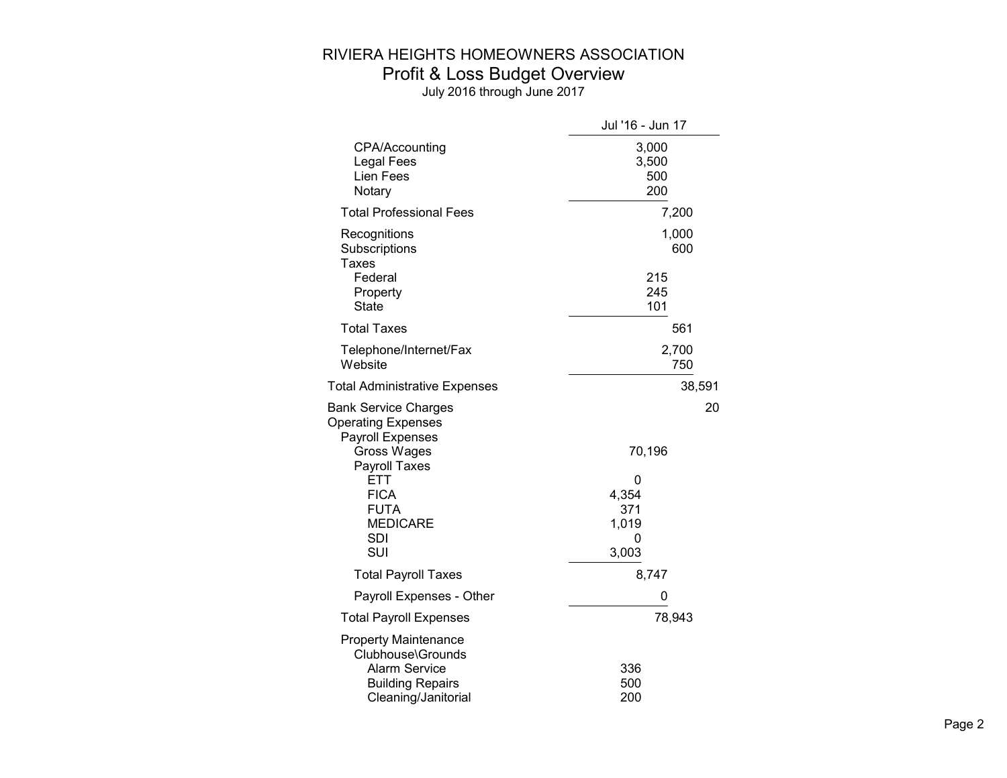|                                                                                                                            | Jul '16 - Jun 17             |
|----------------------------------------------------------------------------------------------------------------------------|------------------------------|
| CPA/Accounting<br>Legal Fees<br>Lien Fees<br>Notary                                                                        | 3,000<br>3,500<br>500<br>200 |
| <b>Total Professional Fees</b>                                                                                             | 7,200                        |
| Recognitions<br>Subscriptions<br>Taxes                                                                                     | 1,000<br>600                 |
| Federal<br>Property<br><b>State</b>                                                                                        | 215<br>245<br>101            |
| <b>Total Taxes</b>                                                                                                         | 561                          |
| Telephone/Internet/Fax<br>Website                                                                                          | 2,700<br>750                 |
| <b>Total Administrative Expenses</b>                                                                                       | 38,591                       |
| <b>Bank Service Charges</b><br><b>Operating Expenses</b><br><b>Payroll Expenses</b><br>Gross Wages<br>Payroll Taxes        | 20<br>70,196                 |
| <b>ETT</b><br><b>FICA</b>                                                                                                  | 0<br>4,354                   |
| <b>FUTA</b><br><b>MEDICARE</b><br><b>SDI</b><br>SUI                                                                        | 371<br>1,019<br>0<br>3,003   |
| <b>Total Payroll Taxes</b>                                                                                                 | 8,747                        |
| Payroll Expenses - Other                                                                                                   | 0                            |
| <b>Total Payroll Expenses</b>                                                                                              | 78,943                       |
| <b>Property Maintenance</b><br>Clubhouse\Grounds<br><b>Alarm Service</b><br><b>Building Repairs</b><br>Cleaning/Janitorial | 336<br>500<br>200            |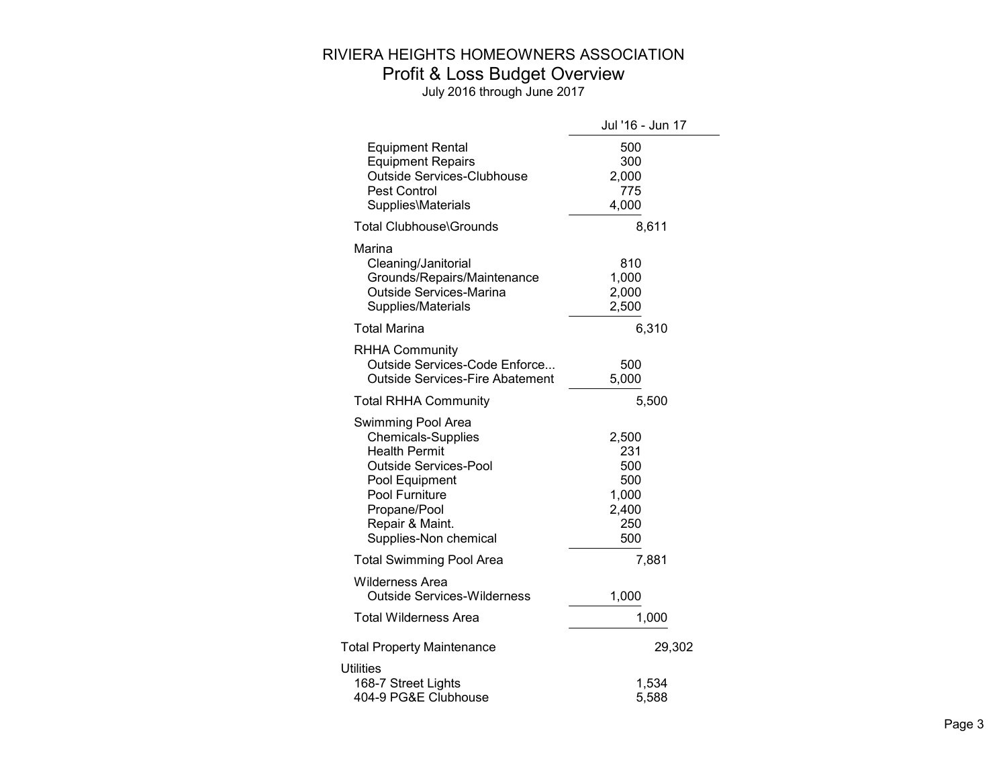|                                                                                                                                                                                                         | Jul '16 - Jun 17                                           |
|---------------------------------------------------------------------------------------------------------------------------------------------------------------------------------------------------------|------------------------------------------------------------|
| <b>Equipment Rental</b><br><b>Equipment Repairs</b><br><b>Outside Services-Clubhouse</b><br><b>Pest Control</b><br>Supplies\Materials                                                                   | 500<br>300<br>2,000<br>775<br>4,000                        |
| <b>Total Clubhouse\Grounds</b>                                                                                                                                                                          | 8,611                                                      |
| Marina<br>Cleaning/Janitorial<br>Grounds/Repairs/Maintenance<br>Outside Services-Marina<br>Supplies/Materials                                                                                           | 810<br>1,000<br>2,000<br>2,500                             |
| <b>Total Marina</b>                                                                                                                                                                                     | 6,310                                                      |
| <b>RHHA Community</b><br>Outside Services-Code Enforce<br><b>Outside Services-Fire Abatement</b>                                                                                                        | 500<br>5,000                                               |
| <b>Total RHHA Community</b>                                                                                                                                                                             | 5,500                                                      |
| Swimming Pool Area<br><b>Chemicals-Supplies</b><br><b>Health Permit</b><br><b>Outside Services-Pool</b><br>Pool Equipment<br>Pool Furniture<br>Propane/Pool<br>Repair & Maint.<br>Supplies-Non chemical | 2,500<br>231<br>500<br>500<br>1,000<br>2,400<br>250<br>500 |
| <b>Total Swimming Pool Area</b>                                                                                                                                                                         | 7,881                                                      |
| Wilderness Area<br><b>Outside Services-Wilderness</b>                                                                                                                                                   | 1,000                                                      |
| <b>Total Wilderness Area</b>                                                                                                                                                                            | 1,000                                                      |
| <b>Total Property Maintenance</b>                                                                                                                                                                       | 29,302                                                     |
| <b>Utilities</b><br>168-7 Street Lights<br>404-9 PG&E Clubhouse                                                                                                                                         | 1,534<br>5,588                                             |